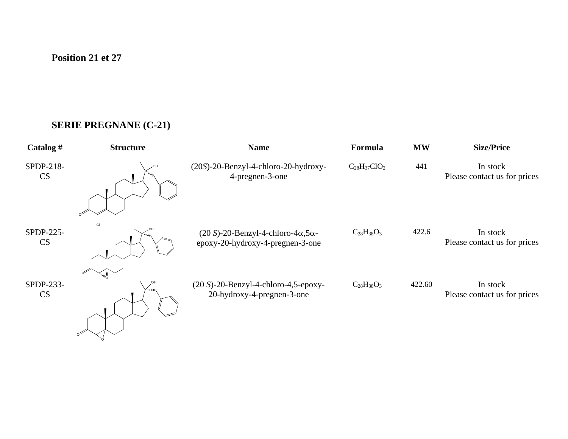## **SERIE PREGNANE (C-21)**

O

| Catalog#               | <b>Structure</b> | <b>Name</b>                                                                               | Formula             | <b>MW</b> | <b>Size/Price</b>                        |
|------------------------|------------------|-------------------------------------------------------------------------------------------|---------------------|-----------|------------------------------------------|
| SPDP-218-<br><b>CS</b> |                  | (20S)-20-Benzyl-4-chloro-20-hydroxy-<br>4-pregnen-3-one                                   | $C_{28}H_{37}ClO_2$ | 441       | In stock<br>Please contact us for prices |
| SPDP-225-<br>CS        |                  | $(20 S)$ -20-Benzyl-4-chloro-4 $\alpha$ ,5 $\alpha$ -<br>epoxy-20-hydroxy-4-pregnen-3-one | $C_{28}H_{38}O_3$   | 422.6     | In stock<br>Please contact us for prices |
| SPDP-233-<br><b>CS</b> | ∕ …⊪             | $(20 S)$ -20-Benzyl-4-chloro-4,5-epoxy-<br>20-hydroxy-4-pregnen-3-one                     | $C_{28}H_{38}O_3$   | 422.60    | In stock<br>Please contact us for prices |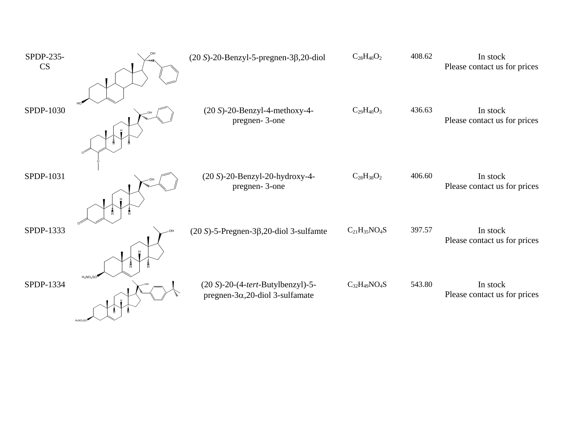| SPDP-235-<br><b>CS</b> | omik.                           | $(20 S)$ -20-Benzyl-5-pregnen-3 $\beta$ ,20-diol                                     | $C_{28}H_{40}O_2$   | 408.62 | In stock<br>Please contact us for prices |
|------------------------|---------------------------------|--------------------------------------------------------------------------------------|---------------------|--------|------------------------------------------|
| SPDP-1030              |                                 | $(20 S)$ -20-Benzyl-4-methoxy-4-<br>pregnen-3-one                                    | $C_{29}H_{40}O_3$   | 436.63 | In stock<br>Please contact us for prices |
| SPDP-1031              |                                 | (20 S)-20-Benzyl-20-hydroxy-4-<br>pregnen-3-one                                      | $C_{28}H_{38}O_2$   | 406.60 | In stock<br>Please contact us for prices |
| SPDP-1333              |                                 | $(20 S)$ -5-Pregnen-3 $\beta$ , 20-diol 3-sulfamte                                   | $C_{21}H_{35}NO_4S$ | 397.57 | In stock<br>Please contact us for prices |
| SPDP-1334              | 同<br>$H_2NO_2SO$<br>$H_2NO_2SO$ | $(20 S)$ -20- $(4$ -tert-Butylbenzyl)-5-<br>pregnen- $3\alpha$ , 20-diol 3-sulfamate | $C_{32}H_{49}NO_4S$ | 543.80 | In stock<br>Please contact us for prices |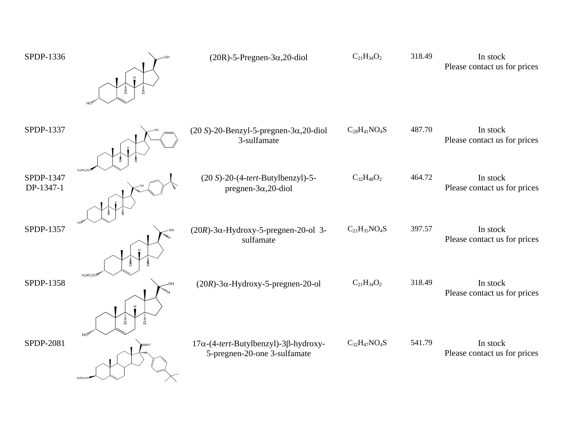| SPDP-1336              |                                      | $(20R)$ -5-Pregnen-3 $\alpha$ , 20-diol                                              | $C_{21}H_{34}O_2$   | 318.49 | In stock<br>Please contact us for prices |
|------------------------|--------------------------------------|--------------------------------------------------------------------------------------|---------------------|--------|------------------------------------------|
| SPDP-1337              |                                      | $(20 S)$ -20-Benzyl-5-pregnen-3 $\alpha$ ,20-diol<br>3-sulfamate                     | $C_{28}H_{41}NO_4S$ | 487.70 | In stock<br>Please contact us for prices |
| SPDP-1347<br>DP-1347-1 | $H_2NO_2S$                           | $(20 S) - 20 - (4 - tert-Butylbenzyl) - 5 -$<br>pregnen- $3\alpha$ , 20-diol         | $C_{32}H_{48}O_2$   | 464.72 | In stock<br>Please contact us for prices |
| SPDP-1357              |                                      | $(20R)$ -3 $\alpha$ -Hydroxy-5-pregnen-20-ol 3-<br>sulfamate                         | $C_{21}H_{35}NO_4S$ | 397.57 | In stock<br>Please contact us for prices |
| SPDP-1358              | $H_2NO_2SO$<br>$\omega_{\rm H}$<br>Ē | $(20R)$ -3 $\alpha$ -Hydroxy-5-pregnen-20-ol                                         | $C_{21}H_{34}O_2$   | 318.49 | In stock<br>Please contact us for prices |
| SPDP-2081              | $H_2NO_2S$                           | $17\alpha$ -(4-tert-Butylbenzyl)-3 $\beta$ -hydroxy-<br>5-pregnen-20-one 3-sulfamate | $C_{32}H_{47}NO_4S$ | 541.79 | In stock<br>Please contact us for prices |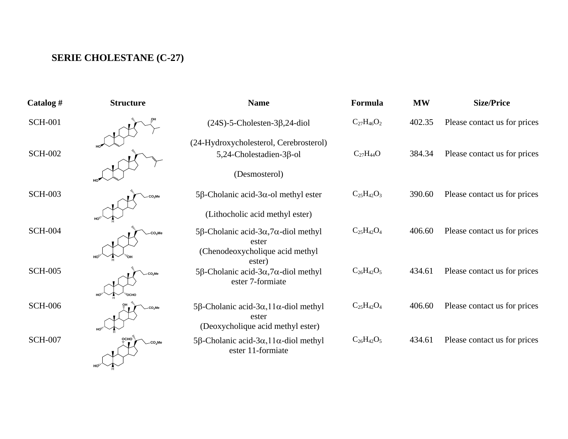## **SERIE CHOLESTANE (C-27)**

H **HO**

| Catalog #      | <b>Structure</b> | <b>Name</b>                                                                       | Formula           | <b>MW</b> | <b>Size/Price</b>            |
|----------------|------------------|-----------------------------------------------------------------------------------|-------------------|-----------|------------------------------|
| <b>SCH-001</b> |                  | $(24S)$ -5-Cholesten-3 $\beta$ ,24-diol                                           | $C_{27}H_{46}O_2$ | 402.35    | Please contact us for prices |
|                |                  | (24-Hydroxycholesterol, Cerebrosterol)                                            |                   |           |                              |
| <b>SCH-002</b> |                  | $5,24$ -Cholestadien-3 $\beta$ -ol                                                | $C_{27}H_{44}O$   | 384.34    | Please contact us for prices |
|                |                  | (Desmosterol)                                                                     |                   |           |                              |
| <b>SCH-003</b> |                  | $5\beta$ -Cholanic acid-3 $\alpha$ -ol methyl ester                               | $C_{25}H_{42}O_3$ | 390.60    | Please contact us for prices |
|                |                  | (Lithocholic acid methyl ester)                                                   |                   |           |                              |
| <b>SCH-004</b> |                  | 5β-Cholanic acid-3α,7α-diol methyl<br>ester                                       | $C_{25}H_{42}O_4$ | 406.60    | Please contact us for prices |
|                |                  | (Chenodeoxycholique acid methyl<br>ester)                                         |                   |           |                              |
| <b>SCH-005</b> |                  | 5 $\beta$ -Cholanic acid-3 $\alpha$ , 7 $\alpha$ -diol methyl<br>ester 7-formiate | $C_{26}H_{42}O_5$ | 434.61    | Please contact us for prices |
| <b>SCH-006</b> |                  | 5β-Cholanic acid-3α, 11α-diol methyl                                              | $C_{25}H_{42}O_4$ | 406.60    | Please contact us for prices |
|                |                  | ester<br>(Deoxycholique acid methyl ester)                                        |                   |           |                              |
| <b>SCH-007</b> |                  | 5β-Cholanic acid-3α, 11α-diol methyl<br>ester 11-formiate                         | $C_{26}H_{42}O_5$ | 434.61    | Please contact us for prices |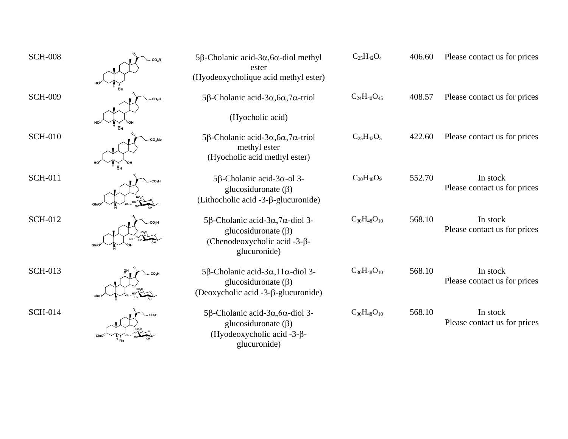| <b>SCH-008</b> |                           | 5 $\beta$ -Cholanic acid-3 $\alpha$ ,6 $\alpha$ -diol methyl<br>ester<br>(Hyodeoxycholique acid methyl ester)             | $C_{25}H_{42}O_4$    | 406.60 | Please contact us for prices             |
|----------------|---------------------------|---------------------------------------------------------------------------------------------------------------------------|----------------------|--------|------------------------------------------|
| <b>SCH-009</b> | CO <sub>2</sub> H         | 5β-Cholanic acid-3α, $6\alpha$ , 7α-triol<br>(Hyocholic acid)                                                             | $C_{24}H_{40}O_{45}$ | 408.57 | Please contact us for prices             |
| <b>SCH-010</b> | CO <sub>2</sub> Me        | 5β-Cholanic acid-3α, $6\alpha$ , 7α-triol<br>methyl ester<br>(Hyocholic acid methyl ester)                                | $C_{25}H_{42}O_5$    | 422.60 | Please contact us for prices             |
| <b>SCH-011</b> | CO <sub>2</sub> H<br>GluO | 5β-Cholanic acid-3α-ol 3-<br>glucosiduronate $(\beta)$<br>(Lithocholic acid $-3$ - $\beta$ -glucuronide)                  | $C_{30}H_{48}O_9$    | 552.70 | In stock<br>Please contact us for prices |
| <b>SCH-012</b> |                           | 5β-Cholanic acid-3α,7α-diol 3-<br>glucosiduronate $(\beta)$<br>(Chenodeoxycholic acid $-3-\beta$ -<br>glucuronide)        | $C_{30}H_{48}O_{10}$ | 568.10 | In stock<br>Please contact us for prices |
| <b>SCH-013</b> | CO <sub>2</sub> H         | 5β-Cholanic acid-3α, 11α-diol 3-<br>glucosiduronate $(\beta)$<br>(Deoxycholic acid $-3-\beta$ -glucuronide)               | $C_{30}H_{48}O_{10}$ | 568.10 | In stock<br>Please contact us for prices |
| <b>SCH-014</b> |                           | 5β-Cholanic acid-3α, $6\alpha$ -diol 3-<br>glucosiduronate $(\beta)$<br>(Hyodeoxycholic acid $-3-\beta$ -<br>glucuronide) | $C_{30}H_{48}O_{10}$ | 568.10 | In stock<br>Please contact us for prices |